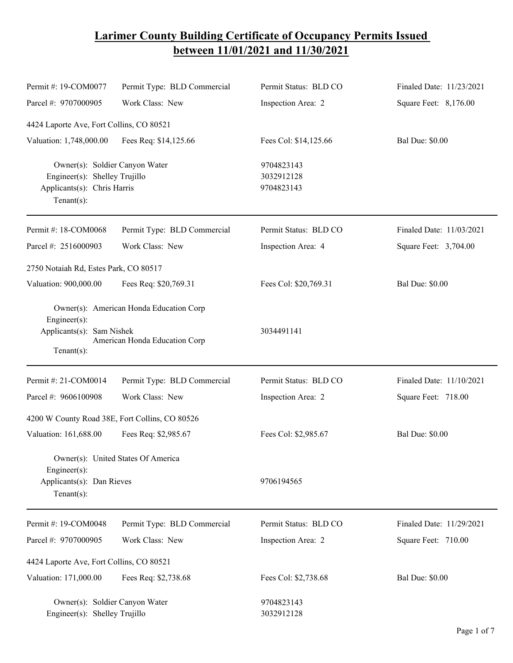## **Larimer County Building Certificate of Occupancy Permits Issued between 11/01/2021 and 11/30/2021**

| Permit #: 19-COM0077                                                                                            | Permit Type: BLD Commercial                                              | Permit Status: BLD CO                  | Finaled Date: 11/23/2021 |
|-----------------------------------------------------------------------------------------------------------------|--------------------------------------------------------------------------|----------------------------------------|--------------------------|
| Parcel #: 9707000905                                                                                            | Work Class: New                                                          | Inspection Area: 2                     | Square Feet: 8,176.00    |
| 4424 Laporte Ave, Fort Collins, CO 80521                                                                        |                                                                          |                                        |                          |
| Valuation: 1,748,000.00                                                                                         | Fees Req: \$14,125.66                                                    | Fees Col: \$14,125.66                  | <b>Bal Due: \$0.00</b>   |
| Owner(s): Soldier Canyon Water<br>Engineer(s): Shelley Trujillo<br>Applicants(s): Chris Harris<br>$Tenant(s)$ : |                                                                          | 9704823143<br>3032912128<br>9704823143 |                          |
| Permit #: 18-COM0068                                                                                            | Permit Type: BLD Commercial                                              | Permit Status: BLD CO                  | Finaled Date: 11/03/2021 |
| Parcel #: 2516000903                                                                                            | Work Class: New                                                          | Inspection Area: 4                     | Square Feet: 3,704.00    |
| 2750 Notaiah Rd, Estes Park, CO 80517                                                                           |                                                                          |                                        |                          |
| Valuation: 900,000.00                                                                                           | Fees Req: \$20,769.31                                                    | Fees Col: \$20,769.31                  | <b>Bal Due: \$0.00</b>   |
| Engineer(s):<br>Applicants(s): Sam Nishek<br>$Tenant(s)$ :                                                      | Owner(s): American Honda Education Corp<br>American Honda Education Corp | 3034491141                             |                          |
| Permit #: 21-COM0014                                                                                            | Permit Type: BLD Commercial                                              | Permit Status: BLD CO                  | Finaled Date: 11/10/2021 |
| Parcel #: 9606100908                                                                                            | Work Class: New                                                          | Inspection Area: 2                     | Square Feet: 718.00      |
|                                                                                                                 | 4200 W County Road 38E, Fort Collins, CO 80526                           |                                        |                          |
| Valuation: 161,688.00                                                                                           | Fees Req: \$2,985.67                                                     | Fees Col: \$2,985.67                   | <b>Bal Due: \$0.00</b>   |
| Engineer(s):<br>Applicants(s): Dan Rieves<br>$Tenant(s)$ :                                                      | Owner(s): United States Of America                                       | 9706194565                             |                          |
| Permit #: 19-COM0048                                                                                            | Permit Type: BLD Commercial                                              | Permit Status: BLD CO                  | Finaled Date: 11/29/2021 |
| Parcel #: 9707000905                                                                                            | Work Class: New                                                          | Inspection Area: 2                     | Square Feet: 710.00      |
| 4424 Laporte Ave, Fort Collins, CO 80521                                                                        |                                                                          |                                        |                          |
| Valuation: 171,000.00                                                                                           | Fees Req: \$2,738.68                                                     | Fees Col: \$2,738.68                   | <b>Bal Due: \$0.00</b>   |
| Owner(s): Soldier Canyon Water<br>Engineer(s): Shelley Trujillo                                                 |                                                                          | 9704823143<br>3032912128               |                          |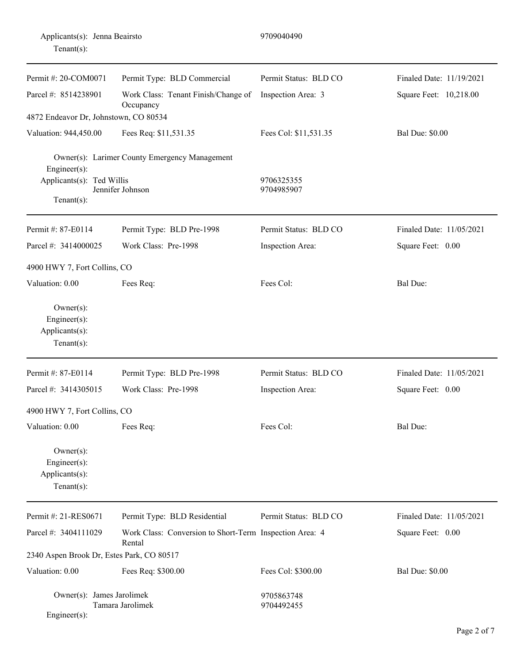| 9709040490<br>Applicants(s): Jenna Beairsto<br>Tenant $(s)$ :        |                                                                   |                          |                          |
|----------------------------------------------------------------------|-------------------------------------------------------------------|--------------------------|--------------------------|
| Permit #: 20-COM0071                                                 | Permit Type: BLD Commercial                                       | Permit Status: BLD CO    | Finaled Date: 11/19/2021 |
| Parcel #: 8514238901                                                 | Work Class: Tenant Finish/Change of<br>Occupancy                  | Inspection Area: 3       | Square Feet: 10,218.00   |
| 4872 Endeavor Dr, Johnstown, CO 80534                                |                                                                   |                          |                          |
| Valuation: 944,450.00                                                | Fees Req: \$11,531.35                                             | Fees Col: \$11,531.35    | <b>Bal Due: \$0.00</b>   |
| Engineer(s):<br>Applicants(s): Ted Willis<br>$Tenant(s)$ :           | Owner(s): Larimer County Emergency Management<br>Jennifer Johnson | 9706325355<br>9704985907 |                          |
| Permit #: 87-E0114                                                   | Permit Type: BLD Pre-1998                                         | Permit Status: BLD CO    | Finaled Date: 11/05/2021 |
| Parcel #: 3414000025                                                 | Work Class: Pre-1998                                              | Inspection Area:         | Square Feet: 0.00        |
| 4900 HWY 7, Fort Collins, CO                                         |                                                                   |                          |                          |
| Valuation: 0.00                                                      | Fees Req:                                                         | Fees Col:                | <b>Bal Due:</b>          |
| $Owner(s)$ :<br>Engineer $(s)$ :<br>Applicants(s):<br>Tenant $(s)$ : |                                                                   |                          |                          |
| Permit #: 87-E0114                                                   | Permit Type: BLD Pre-1998                                         | Permit Status: BLD CO    | Finaled Date: 11/05/2021 |
| Parcel #: 3414305015                                                 | Work Class: Pre-1998                                              | Inspection Area:         | Square Feet: 0.00        |
| 4900 HWY 7, Fort Collins, CO                                         |                                                                   |                          |                          |
| Valuation: 0.00                                                      | Fees Req:                                                         | Fees Col:                | Bal Due:                 |
| $Owner(s)$ :<br>Engineer(s):<br>Applicants(s):<br>Tenant $(s)$ :     |                                                                   |                          |                          |
| Permit #: 21-RES0671                                                 | Permit Type: BLD Residential                                      | Permit Status: BLD CO    | Finaled Date: 11/05/2021 |
| Parcel #: 3404111029                                                 | Work Class: Conversion to Short-Term Inspection Area: 4<br>Rental |                          | Square Feet: 0.00        |
| 2340 Aspen Brook Dr, Estes Park, CO 80517                            |                                                                   |                          |                          |
| Valuation: 0.00                                                      | Fees Req: \$300.00                                                | Fees Col: \$300.00       | <b>Bal Due: \$0.00</b>   |
| Owner(s): James Jarolimek<br>Engineer(s):                            | Tamara Jarolimek                                                  | 9705863748<br>9704492455 |                          |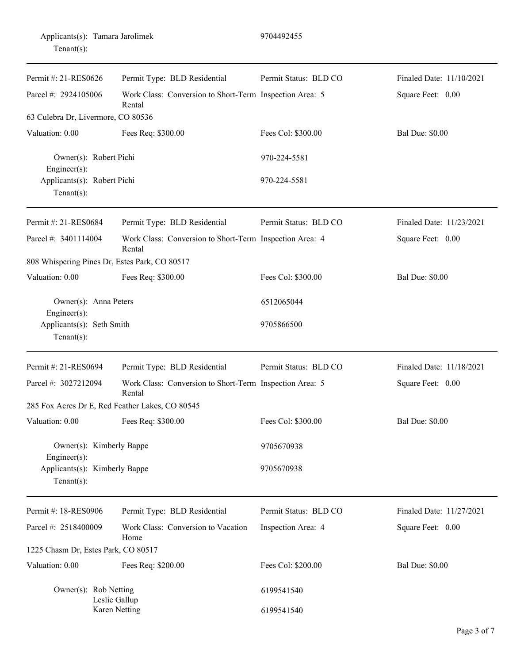|                | Applicants(s): Tamara Jarolimek |
|----------------|---------------------------------|
| Tenant $(s)$ : |                                 |

| Permit #: 21-RES0626                                                                      | Permit Type: BLD Residential                                      | Permit Status: BLD CO | Finaled Date: 11/10/2021 |
|-------------------------------------------------------------------------------------------|-------------------------------------------------------------------|-----------------------|--------------------------|
| Parcel #: 2924105006<br>Work Class: Conversion to Short-Term Inspection Area: 5<br>Rental |                                                                   |                       | Square Feet: 0.00        |
| 63 Culebra Dr, Livermore, CO 80536                                                        |                                                                   |                       |                          |
| Valuation: 0.00<br>Fees Req: \$300.00                                                     |                                                                   | Fees Col: \$300.00    | <b>Bal Due: \$0.00</b>   |
| Owner(s): Robert Pichi<br>Engineer(s):                                                    |                                                                   | 970-224-5581          |                          |
| Applicants(s): Robert Pichi<br>Tenant $(s)$ :                                             |                                                                   | 970-224-5581          |                          |
| Permit #: 21-RES0684                                                                      | Permit Type: BLD Residential                                      | Permit Status: BLD CO | Finaled Date: 11/23/2021 |
| Parcel #: 3401114004                                                                      | Work Class: Conversion to Short-Term Inspection Area: 4<br>Rental |                       | Square Feet: 0.00        |
| 808 Whispering Pines Dr, Estes Park, CO 80517                                             |                                                                   |                       |                          |
| Valuation: 0.00                                                                           | Fees Req: \$300.00                                                | Fees Col: \$300.00    | <b>Bal Due: \$0.00</b>   |
| Owner(s): Anna Peters<br>Engineer(s):                                                     |                                                                   | 6512065044            |                          |
| Applicants(s): Seth Smith<br>$Tenant(s)$ :                                                |                                                                   | 9705866500            |                          |
| Permit #: 21-RES0694                                                                      | Permit Type: BLD Residential                                      | Permit Status: BLD CO | Finaled Date: 11/18/2021 |
| Parcel #: 3027212094                                                                      | Work Class: Conversion to Short-Term Inspection Area: 5<br>Rental |                       | Square Feet: 0.00        |
| 285 Fox Acres Dr E, Red Feather Lakes, CO 80545                                           |                                                                   |                       |                          |
| Valuation: 0.00                                                                           | Fees Req: \$300.00                                                | Fees Col: \$300.00    | <b>Bal Due: \$0.00</b>   |
| Owner(s): Kimberly Bappe<br>Engineer(s):                                                  |                                                                   | 9705670938            |                          |
| Applicants(s): Kimberly Bappe<br>Tenant $(s)$ :                                           |                                                                   | 9705670938            |                          |
| Permit #: 18-RES0906                                                                      | Permit Type: BLD Residential                                      | Permit Status: BLD CO | Finaled Date: 11/27/2021 |
| Parcel #: 2518400009                                                                      | Work Class: Conversion to Vacation<br>Home                        | Inspection Area: 4    | Square Feet: 0.00        |
| 1225 Chasm Dr, Estes Park, CO 80517                                                       |                                                                   |                       |                          |
| Valuation: 0.00                                                                           | Fees Req: \$200.00                                                | Fees Col: \$200.00    | <b>Bal Due: \$0.00</b>   |
| Owner(s): Rob Netting<br>Leslie Gallup                                                    |                                                                   | 6199541540            |                          |
| Karen Netting                                                                             |                                                                   | 6199541540            |                          |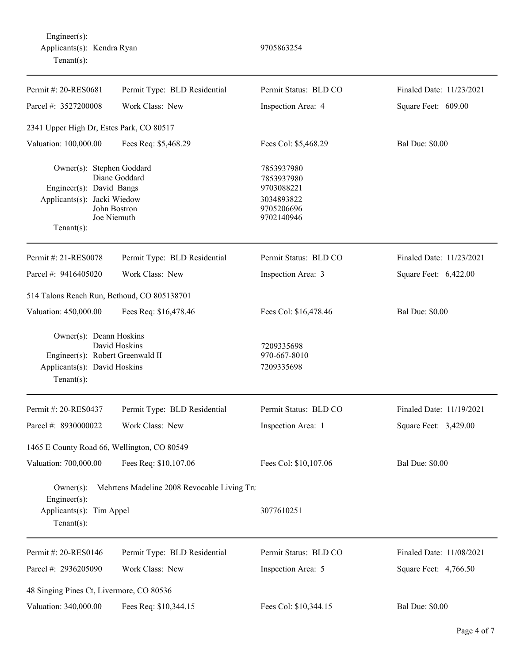| Permit #: 20-RES0681                                                                                                     | Permit Type: BLD Residential                 | Permit Status: BLD CO                                                            | Finaled Date: 11/23/2021 |  |
|--------------------------------------------------------------------------------------------------------------------------|----------------------------------------------|----------------------------------------------------------------------------------|--------------------------|--|
| Parcel #: 3527200008                                                                                                     | Work Class: New                              | Inspection Area: 4                                                               | Square Feet: 609.00      |  |
| 2341 Upper High Dr, Estes Park, CO 80517                                                                                 |                                              |                                                                                  |                          |  |
| Valuation: 100,000.00                                                                                                    | Fees Req: \$5,468.29                         | Fees Col: \$5,468.29                                                             | <b>Bal Due: \$0.00</b>   |  |
| Owner(s): Stephen Goddard<br>Engineer(s): David Bangs<br>Applicants(s): Jacki Wiedow<br>$Tenant(s)$ :                    | Diane Goddard<br>John Bostron<br>Joe Niemuth | 7853937980<br>7853937980<br>9703088221<br>3034893822<br>9705206696<br>9702140946 |                          |  |
| Permit #: 21-RES0078                                                                                                     | Permit Type: BLD Residential                 | Permit Status: BLD CO                                                            | Finaled Date: 11/23/2021 |  |
| Parcel #: 9416405020                                                                                                     | Work Class: New                              | Inspection Area: 3                                                               | Square Feet: 6,422.00    |  |
| 514 Talons Reach Run, Bethoud, CO 805138701                                                                              |                                              |                                                                                  |                          |  |
| Valuation: 450,000.00                                                                                                    | Fees Req: \$16,478.46                        | Fees Col: \$16,478.46                                                            | <b>Bal Due: \$0.00</b>   |  |
| Owner(s): Deann Hoskins<br>Engineer(s): Robert Greenwald II<br>Applicants(s): David Hoskins<br>$Tenant(s)$ :             | David Hoskins                                | 7209335698<br>970-667-8010<br>7209335698                                         |                          |  |
| Permit #: 20-RES0437                                                                                                     | Permit Type: BLD Residential                 | Permit Status: BLD CO                                                            | Finaled Date: 11/19/2021 |  |
| Parcel #: 8930000022                                                                                                     | Work Class: New                              | Inspection Area: 1                                                               | Square Feet: 3,429.00    |  |
| 1465 E County Road 66, Wellington, CO 80549                                                                              |                                              |                                                                                  |                          |  |
| Valuation: 700,000.00                                                                                                    | Fees Req: \$10,107.06                        | Fees Col: \$10,107.06                                                            | <b>Bal Due: \$0.00</b>   |  |
| Mehrtens Madeline 2008 Revocable Living Tru<br>$Owner(s)$ :<br>Engineer(s):<br>Applicants(s): Tim Appel<br>$Tenant(s)$ : |                                              | 3077610251                                                                       |                          |  |
| Permit #: 20-RES0146                                                                                                     | Permit Type: BLD Residential                 | Permit Status: BLD CO                                                            | Finaled Date: 11/08/2021 |  |
| Parcel #: 2936205090                                                                                                     | Work Class: New                              | Inspection Area: 5                                                               | Square Feet: 4,766.50    |  |
| 48 Singing Pines Ct, Livermore, CO 80536                                                                                 |                                              |                                                                                  |                          |  |
| Valuation: 340,000.00                                                                                                    | Fees Req: \$10,344.15                        | Fees Col: \$10,344.15                                                            | <b>Bal Due: \$0.00</b>   |  |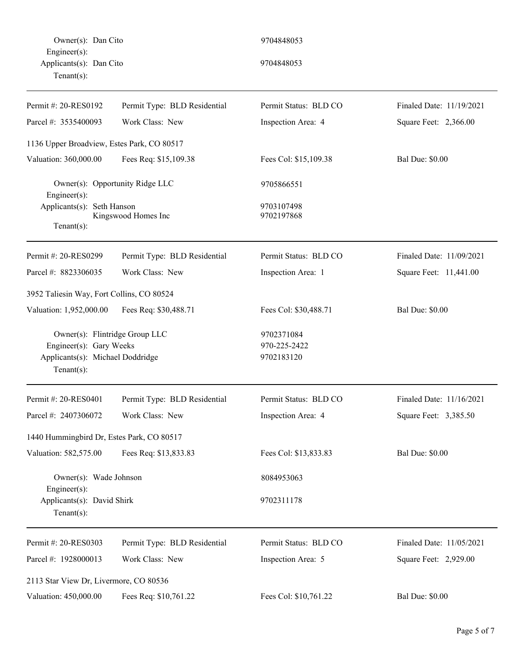Owner(s): Dan Cito 9704848053 Engineer(s): Applicants(s): Dan Cito 9704848053 Tenant(s):

| Permit #: 20-RES0192                                                                                            | Permit Type: BLD Residential    | Permit Status: BLD CO                    | Finaled Date: 11/19/2021 |
|-----------------------------------------------------------------------------------------------------------------|---------------------------------|------------------------------------------|--------------------------|
| Parcel #: 3535400093                                                                                            | Work Class: New                 | Inspection Area: 4                       | Square Feet: 2,366.00    |
| 1136 Upper Broadview, Estes Park, CO 80517                                                                      |                                 |                                          |                          |
| Valuation: 360,000.00<br>Fees Req: \$15,109.38                                                                  |                                 | Fees Col: \$15,109.38                    | <b>Bal Due: \$0.00</b>   |
| Engineer(s):                                                                                                    | Owner(s): Opportunity Ridge LLC | 9705866551                               |                          |
| Applicants(s): Seth Hanson<br>Tenant $(s)$ :                                                                    | Kingswood Homes Inc             | 9703107498<br>9702197868                 |                          |
| Permit #: 20-RES0299                                                                                            | Permit Type: BLD Residential    | Permit Status: BLD CO                    | Finaled Date: 11/09/2021 |
| Parcel #: 8823306035                                                                                            | Work Class: New                 | Inspection Area: 1                       | Square Feet: 11,441.00   |
| 3952 Taliesin Way, Fort Collins, CO 80524                                                                       |                                 |                                          |                          |
| Valuation: 1,952,000.00                                                                                         | Fees Req: \$30,488.71           | Fees Col: \$30,488.71                    | <b>Bal Due: \$0.00</b>   |
| Owner(s): Flintridge Group LLC<br>Engineer(s): Gary Weeks<br>Applicants(s): Michael Doddridge<br>Tenant $(s)$ : |                                 | 9702371084<br>970-225-2422<br>9702183120 |                          |
| Permit #: 20-RES0401                                                                                            | Permit Type: BLD Residential    | Permit Status: BLD CO                    | Finaled Date: 11/16/2021 |
| Parcel #: 2407306072                                                                                            | Work Class: New                 | Inspection Area: 4                       | Square Feet: 3,385.50    |
| 1440 Hummingbird Dr, Estes Park, CO 80517                                                                       |                                 |                                          |                          |
| Valuation: 582,575.00                                                                                           | Fees Req: \$13,833.83           | Fees Col: \$13,833.83                    | <b>Bal Due: \$0.00</b>   |
| Owner(s): Wade Johnson<br>Engineer $(s)$ :                                                                      |                                 | 8084953063                               |                          |
| Applicants(s): David Shirk<br>Tenant $(s)$ :                                                                    |                                 | 9702311178                               |                          |
| Permit #: 20-RES0303                                                                                            | Permit Type: BLD Residential    | Permit Status: BLD CO                    | Finaled Date: 11/05/2021 |
| Parcel #: 1928000013                                                                                            | Work Class: New                 | Inspection Area: 5                       | Square Feet: 2,929.00    |
| 2113 Star View Dr, Livermore, CO 80536                                                                          |                                 |                                          |                          |
| Valuation: 450,000.00                                                                                           | Fees Req: \$10,761.22           | Fees Col: \$10,761.22                    | <b>Bal Due: \$0.00</b>   |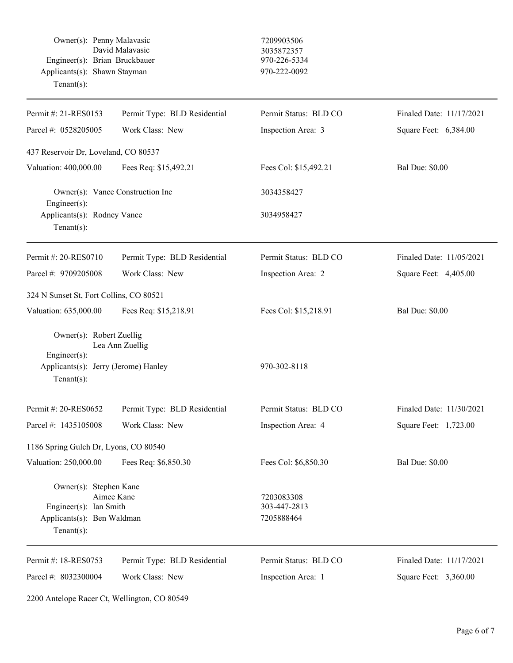|            | Owner(s): Penny Malavasic     | 7209903506   |
|------------|-------------------------------|--------------|
|            | David Malayasic               | 3035872357   |
|            | Engineer(s): Brian Bruckbauer | 970-226-5334 |
|            | Applicants(s): Shawn Stayman  | 970-222-0092 |
| Tenant(s): |                               |              |

## 7209903506 3035872357 970-226-5334

| Permit #: 21-RES0153                                                                                           | Permit Type: BLD Residential | Permit Status: BLD CO                    | Finaled Date: 11/17/2021 |
|----------------------------------------------------------------------------------------------------------------|------------------------------|------------------------------------------|--------------------------|
| Work Class: New<br>Parcel #: 0528205005                                                                        |                              | Inspection Area: 3                       | Square Feet: 6,384.00    |
| 437 Reservoir Dr, Loveland, CO 80537                                                                           |                              |                                          |                          |
| Valuation: 400,000.00<br>Fees Req: \$15,492.21                                                                 |                              | Fees Col: \$15,492.21                    | <b>Bal Due: \$0.00</b>   |
| Owner(s): Vance Construction Inc<br>Engineer(s):                                                               |                              | 3034358427                               |                          |
| Applicants(s): Rodney Vance<br>Tenant $(s)$ :                                                                  |                              | 3034958427                               |                          |
| Permit #: 20-RES0710                                                                                           | Permit Type: BLD Residential | Permit Status: BLD CO                    | Finaled Date: 11/05/2021 |
| Parcel #: 9709205008                                                                                           | Work Class: New              | Inspection Area: 2                       | Square Feet: 4,405.00    |
| 324 N Sunset St, Fort Collins, CO 80521                                                                        |                              |                                          |                          |
| Valuation: 635,000.00                                                                                          | Fees Req: \$15,218.91        | Fees Col: \$15,218.91                    | <b>Bal Due: \$0.00</b>   |
| Owner(s): Robert Zuellig<br>$Engineering(s)$ :                                                                 | Lea Ann Zuellig              |                                          |                          |
| Applicants(s): Jerry (Jerome) Hanley<br>Tenant $(s)$ :                                                         |                              | 970-302-8118                             |                          |
| Permit #: 20-RES0652                                                                                           | Permit Type: BLD Residential | Permit Status: BLD CO                    | Finaled Date: 11/30/2021 |
| Parcel #: 1435105008                                                                                           | Work Class: New              | Inspection Area: 4                       | Square Feet: 1,723.00    |
| 1186 Spring Gulch Dr, Lyons, CO 80540                                                                          |                              |                                          |                          |
| Valuation: 250,000.00                                                                                          | Fees Req: \$6,850.30         | Fees Col: \$6,850.30                     | <b>Bal Due: \$0.00</b>   |
| Owner(s): Stephen Kane<br>Aimee Kane<br>Engineer(s): Ian Smith<br>Applicants(s): Ben Waldman<br>Tenant $(s)$ : |                              | 7203083308<br>303-447-2813<br>7205888464 |                          |
| Permit #: 18-RES0753                                                                                           | Permit Type: BLD Residential | Permit Status: BLD CO                    | Finaled Date: 11/17/2021 |
| Parcel #: 8032300004                                                                                           | Work Class: New              | Inspection Area: 1                       | Square Feet: 3,360.00    |

2200 Antelope Racer Ct, Wellington, CO 80549